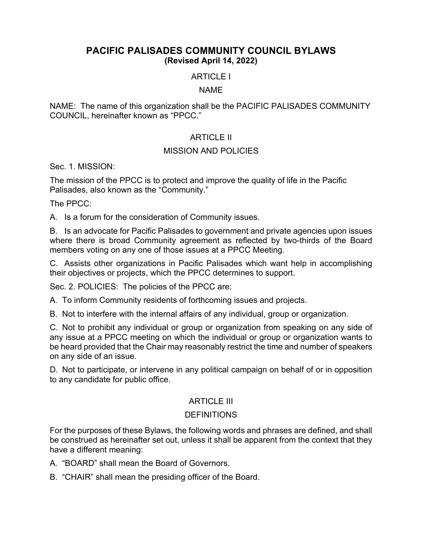# **PACIFIC PALISADES COMMUNITY COUNCIL BYLAWS (Revised April 14, 2022)**

# ARTICLE I

#### NAME

NAME: The name of this organization shall be the PACIFIC PALISADES COMMUNITY COUNCIL, hereinafter known as "PPCC."

# ARTICLE II

#### MISSION AND POLICIES

Sec. 1. MISSION:

The mission of the PPCC is to protect and improve the quality of life in the Pacific Palisades, also known as the "Community."

The PPCC:

A. Is a forum for the consideration of Community issues.

B. Is an advocate for Pacific Palisades to government and private agencies upon issues where there is broad Community agreement as reflected by two-thirds of the Board members voting on any one of those issues at a PPCC Meeting.

C. Assists other organizations in Pacific Palisades which want help in accomplishing their objectives or projects, which the PPCC determines to support.

Sec. 2. POLICIES: The policies of the PPCC are:

A. To inform Community residents of forthcoming issues and projects.

B. Not to interfere with the internal affairs of any individual, group or organization.

C. Not to prohibit any individual or group or organization from speaking on any side of any issue at a PPCC meeting on which the individual or group or organization wants to be heard provided that the Chair may reasonably restrict the time and number of speakers on any side of an issue.

D. Not to participate, or intervene in any political campaign on behalf of or in opposition to any candidate for public office.

# **ARTICLE III**

# DEFINITIONS

For the purposes of these Bylaws, the following words and phrases are defined, and shall be construed as hereinafter set out, unless it shall be apparent from the context that they have a different meaning:

A. "BOARD" shall mean the Board of Governors.

B. "CHAIR" shall mean the presiding officer of the Board.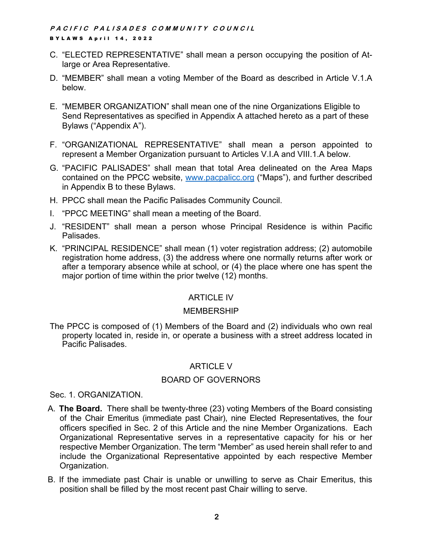- C. "ELECTED REPRESENTATIVE" shall mean a person occupying the position of Atlarge or Area Representative.
- D. "MEMBER" shall mean a voting Member of the Board as described in Article V.1.A below.
- E. "MEMBER ORGANIZATION" shall mean one of the nine Organizations Eligible to Send Representatives as specified in Appendix A attached hereto as a part of these Bylaws ("Appendix A").
- F. "ORGANIZATIONAL REPRESENTATIVE" shall mean a person appointed to represent a Member Organization pursuant to Articles V.I.A and VIII.1.A below.
- G. "PACIFIC PALISADES" shall mean that total Area delineated on the Area Maps contained on the PPCC website, www.pacpalicc.org ("Maps"), and further described in Appendix B to these Bylaws.
- H. PPCC shall mean the Pacific Palisades Community Council.
- I. "PPCC MEETING" shall mean a meeting of the Board.
- J. "RESIDENT" shall mean a person whose Principal Residence is within Pacific Palisades.
- K. "PRINCIPAL RESIDENCE" shall mean (1) voter registration address; (2) automobile registration home address, (3) the address where one normally returns after work or after a temporary absence while at school, or (4) the place where one has spent the major portion of time within the prior twelve (12) months.

# ARTICLE IV

# MEMBERSHIP

The PPCC is composed of (1) Members of the Board and (2) individuals who own real property located in, reside in, or operate a business with a street address located in Pacific Palisades.

# ARTICLE V

# BOARD OF GOVERNORS

# Sec. 1. ORGANIZATION.

- A. **The Board.** There shall be twenty-three (23) voting Members of the Board consisting of the Chair Emeritus (immediate past Chair), nine Elected Representatives, the four officers specified in Sec. 2 of this Article and the nine Member Organizations. Each Organizational Representative serves in a representative capacity for his or her respective Member Organization. The term "Member" as used herein shall refer to and include the Organizational Representative appointed by each respective Member Organization.
- B. If the immediate past Chair is unable or unwilling to serve as Chair Emeritus, this position shall be filled by the most recent past Chair willing to serve.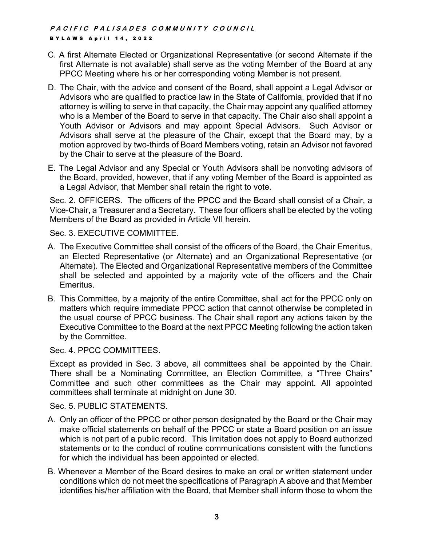- C. A first Alternate Elected or Organizational Representative (or second Alternate if the first Alternate is not available) shall serve as the voting Member of the Board at any PPCC Meeting where his or her corresponding voting Member is not present.
- D. The Chair, with the advice and consent of the Board, shall appoint a Legal Advisor or Advisors who are qualified to practice law in the State of California, provided that if no attorney is willing to serve in that capacity, the Chair may appoint any qualified attorney who is a Member of the Board to serve in that capacity. The Chair also shall appoint a Youth Advisor or Advisors and may appoint Special Advisors. Such Advisor or Advisors shall serve at the pleasure of the Chair, except that the Board may, by a motion approved by two-thirds of Board Members voting, retain an Advisor not favored by the Chair to serve at the pleasure of the Board.
- E. The Legal Advisor and any Special or Youth Advisors shall be nonvoting advisors of the Board, provided, however, that if any voting Member of the Board is appointed as a Legal Advisor, that Member shall retain the right to vote.

Sec. 2. OFFICERS. The officers of the PPCC and the Board shall consist of a Chair, a Vice-Chair, a Treasurer and a Secretary. These four officers shall be elected by the voting Members of the Board as provided in Article VII herein.

Sec. 3. EXECUTIVE COMMITTEE.

- A. The Executive Committee shall consist of the officers of the Board, the Chair Emeritus, an Elected Representative (or Alternate) and an Organizational Representative (or Alternate). The Elected and Organizational Representative members of the Committee shall be selected and appointed by a majority vote of the officers and the Chair Emeritus.
- B. This Committee, by a majority of the entire Committee, shall act for the PPCC only on matters which require immediate PPCC action that cannot otherwise be completed in the usual course of PPCC business. The Chair shall report any actions taken by the Executive Committee to the Board at the next PPCC Meeting following the action taken by the Committee.

Sec. 4. PPCC COMMITTEES.

Except as provided in Sec. 3 above, all committees shall be appointed by the Chair. There shall be a Nominating Committee, an Election Committee, a "Three Chairs" Committee and such other committees as the Chair may appoint. All appointed committees shall terminate at midnight on June 30.

Sec. 5. PUBLIC STATEMENTS.

- A. Only an officer of the PPCC or other person designated by the Board or the Chair may make official statements on behalf of the PPCC or state a Board position on an issue which is not part of a public record. This limitation does not apply to Board authorized statements or to the conduct of routine communications consistent with the functions for which the individual has been appointed or elected.
- B. Whenever a Member of the Board desires to make an oral or written statement under conditions which do not meet the specifications of Paragraph A above and that Member identifies his/her affiliation with the Board, that Member shall inform those to whom the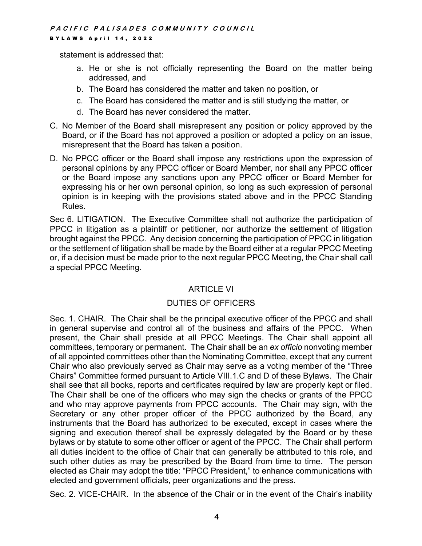statement is addressed that:

- a. He or she is not officially representing the Board on the matter being addressed, and
- b. The Board has considered the matter and taken no position, or
- c. The Board has considered the matter and is still studying the matter, or
- d. The Board has never considered the matter.
- C. No Member of the Board shall misrepresent any position or policy approved by the Board, or if the Board has not approved a position or adopted a policy on an issue, misrepresent that the Board has taken a position.
- D. No PPCC officer or the Board shall impose any restrictions upon the expression of personal opinions by any PPCC officer or Board Member, nor shall any PPCC officer or the Board impose any sanctions upon any PPCC officer or Board Member for expressing his or her own personal opinion, so long as such expression of personal opinion is in keeping with the provisions stated above and in the PPCC Standing Rules.

Sec 6. LITIGATION. The Executive Committee shall not authorize the participation of PPCC in litigation as a plaintiff or petitioner, nor authorize the settlement of litigation brought against the PPCC. Any decision concerning the participation of PPCC in litigation or the settlement of litigation shall be made by the Board either at a regular PPCC Meeting or, if a decision must be made prior to the next regular PPCC Meeting, the Chair shall call a special PPCC Meeting.

# ARTICLE VI

# DUTIES OF OFFICERS

Sec. 1. CHAIR. The Chair shall be the principal executive officer of the PPCC and shall in general supervise and control all of the business and affairs of the PPCC. When present, the Chair shall preside at all PPCC Meetings. The Chair shall appoint all committees, temporary or permanent. The Chair shall be an *ex officio* nonvoting member of all appointed committees other than the Nominating Committee, except that any current Chair who also previously served as Chair may serve as a voting member of the "Three Chairs" Committee formed pursuant to Article VIII.1.C and D of these Bylaws. The Chair shall see that all books, reports and certificates required by law are properly kept or filed. The Chair shall be one of the officers who may sign the checks or grants of the PPCC and who may approve payments from PPCC accounts. The Chair may sign, with the Secretary or any other proper officer of the PPCC authorized by the Board, any instruments that the Board has authorized to be executed, except in cases where the signing and execution thereof shall be expressly delegated by the Board or by these bylaws or by statute to some other officer or agent of the PPCC. The Chair shall perform all duties incident to the office of Chair that can generally be attributed to this role, and such other duties as may be prescribed by the Board from time to time. The person elected as Chair may adopt the title: "PPCC President," to enhance communications with elected and government officials, peer organizations and the press.

Sec. 2. VICE-CHAIR. In the absence of the Chair or in the event of the Chair's inability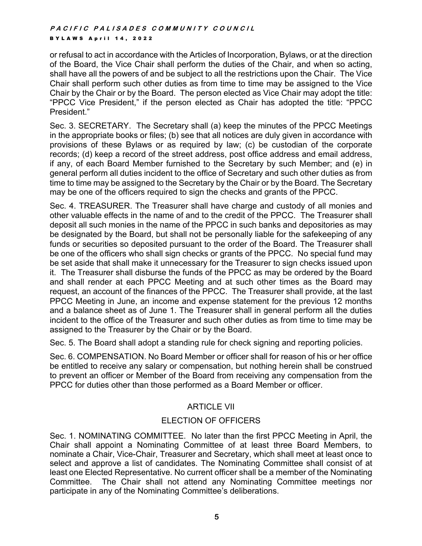or refusal to act in accordance with the Articles of Incorporation, Bylaws, or at the direction of the Board, the Vice Chair shall perform the duties of the Chair, and when so acting, shall have all the powers of and be subject to all the restrictions upon the Chair. The Vice Chair shall perform such other duties as from time to time may be assigned to the Vice Chair by the Chair or by the Board. The person elected as Vice Chair may adopt the title: "PPCC Vice President," if the person elected as Chair has adopted the title: "PPCC President."

Sec. 3. SECRETARY. The Secretary shall (a) keep the minutes of the PPCC Meetings in the appropriate books or files; (b) see that all notices are duly given in accordance with provisions of these Bylaws or as required by law; (c) be custodian of the corporate records; (d) keep a record of the street address, post office address and email address, if any, of each Board Member furnished to the Secretary by such Member; and (e) in general perform all duties incident to the office of Secretary and such other duties as from time to time may be assigned to the Secretary by the Chair or by the Board. The Secretary may be one of the officers required to sign the checks and grants of the PPCC.

Sec. 4. TREASURER. The Treasurer shall have charge and custody of all monies and other valuable effects in the name of and to the credit of the PPCC. The Treasurer shall deposit all such monies in the name of the PPCC in such banks and depositories as may be designated by the Board, but shall not be personally liable for the safekeeping of any funds or securities so deposited pursuant to the order of the Board. The Treasurer shall be one of the officers who shall sign checks or grants of the PPCC. No special fund may be set aside that shall make it unnecessary for the Treasurer to sign checks issued upon it. The Treasurer shall disburse the funds of the PPCC as may be ordered by the Board and shall render at each PPCC Meeting and at such other times as the Board may request, an account of the finances of the PPCC. The Treasurer shall provide, at the last PPCC Meeting in June, an income and expense statement for the previous 12 months and a balance sheet as of June 1. The Treasurer shall in general perform all the duties incident to the office of the Treasurer and such other duties as from time to time may be assigned to the Treasurer by the Chair or by the Board.

Sec. 5. The Board shall adopt a standing rule for check signing and reporting policies.

Sec. 6. COMPENSATION. No Board Member or officer shall for reason of his or her office be entitled to receive any salary or compensation, but nothing herein shall be construed to prevent an officer or Member of the Board from receiving any compensation from the PPCC for duties other than those performed as a Board Member or officer.

# ARTICLE VII

# ELECTION OF OFFICERS

Sec. 1. NOMINATING COMMITTEE. No later than the first PPCC Meeting in April, the Chair shall appoint a Nominating Committee of at least three Board Members, to nominate a Chair, Vice-Chair, Treasurer and Secretary, which shall meet at least once to select and approve a list of candidates. The Nominating Committee shall consist of at least one Elected Representative. No current officer shall be a member of the Nominating Committee. The Chair shall not attend any Nominating Committee meetings nor participate in any of the Nominating Committee's deliberations.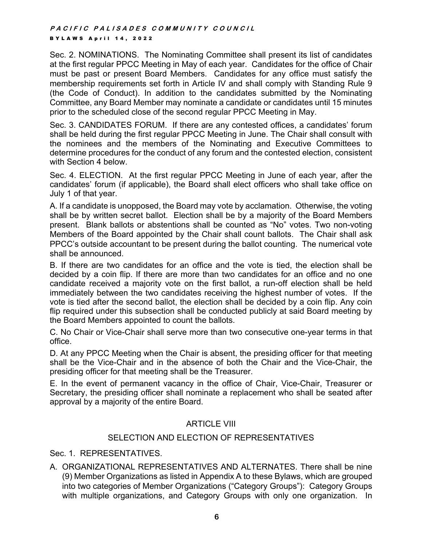Sec. 2. NOMINATIONS. The Nominating Committee shall present its list of candidates at the first regular PPCC Meeting in May of each year. Candidates for the office of Chair must be past or present Board Members. Candidates for any office must satisfy the membership requirements set forth in Article IV and shall comply with Standing Rule 9 (the Code of Conduct). In addition to the candidates submitted by the Nominating Committee, any Board Member may nominate a candidate or candidates until 15 minutes prior to the scheduled close of the second regular PPCC Meeting in May.

Sec. 3. CANDIDATES FORUM. If there are any contested offices, a candidates' forum shall be held during the first regular PPCC Meeting in June. The Chair shall consult with the nominees and the members of the Nominating and Executive Committees to determine procedures for the conduct of any forum and the contested election, consistent with Section 4 below.

Sec. 4. ELECTION. At the first regular PPCC Meeting in June of each year, after the candidates' forum (if applicable), the Board shall elect officers who shall take office on July 1 of that year.

A. If a candidate is unopposed, the Board may vote by acclamation. Otherwise, the voting shall be by written secret ballot. Election shall be by a majority of the Board Members present. Blank ballots or abstentions shall be counted as "No" votes. Two non-voting Members of the Board appointed by the Chair shall count ballots. The Chair shall ask PPCC's outside accountant to be present during the ballot counting. The numerical vote shall be announced.

B. If there are two candidates for an office and the vote is tied, the election shall be decided by a coin flip. If there are more than two candidates for an office and no one candidate received a majority vote on the first ballot, a run-off election shall be held immediately between the two candidates receiving the highest number of votes. If the vote is tied after the second ballot, the election shall be decided by a coin flip. Any coin flip required under this subsection shall be conducted publicly at said Board meeting by the Board Members appointed to count the ballots.

C. No Chair or Vice-Chair shall serve more than two consecutive one-year terms in that office.

D. At any PPCC Meeting when the Chair is absent, the presiding officer for that meeting shall be the Vice-Chair and in the absence of both the Chair and the Vice-Chair, the presiding officer for that meeting shall be the Treasurer.

E. In the event of permanent vacancy in the office of Chair, Vice-Chair, Treasurer or Secretary, the presiding officer shall nominate a replacement who shall be seated after approval by a majority of the entire Board.

# ARTICLE VIII

# SELECTION AND ELECTION OF REPRESENTATIVES

Sec. 1. REPRESENTATIVES.

A. ORGANIZATIONAL REPRESENTATIVES AND ALTERNATES. There shall be nine (9) Member Organizations as listed in Appendix A to these Bylaws, which are grouped into two categories of Member Organizations ("Category Groups"): Category Groups with multiple organizations, and Category Groups with only one organization. In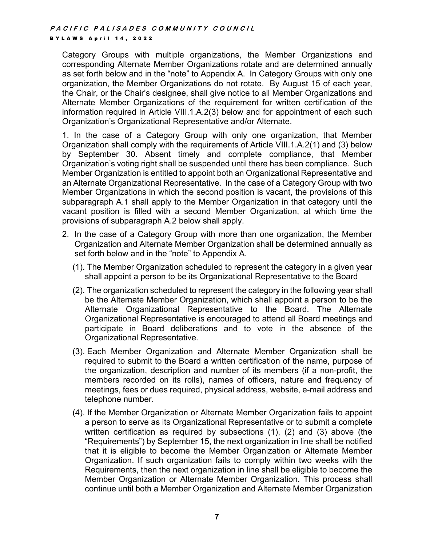Category Groups with multiple organizations, the Member Organizations and corresponding Alternate Member Organizations rotate and are determined annually as set forth below and in the "note" to Appendix A. In Category Groups with only one organization, the Member Organizations do not rotate. By August 15 of each year, the Chair, or the Chair's designee, shall give notice to all Member Organizations and Alternate Member Organizations of the requirement for written certification of the information required in Article VIII.1.A.2(3) below and for appointment of each such Organization's Organizational Representative and/or Alternate.

1. In the case of a Category Group with only one organization, that Member Organization shall comply with the requirements of Article VIII.1.A.2(1) and (3) below by September 30. Absent timely and complete compliance, that Member Organization's voting right shall be suspended until there has been compliance. Such Member Organization is entitled to appoint both an Organizational Representative and an Alternate Organizational Representative. In the case of a Category Group with two Member Organizations in which the second position is vacant, the provisions of this subparagraph A.1 shall apply to the Member Organization in that category until the vacant position is filled with a second Member Organization, at which time the provisions of subparagraph A.2 below shall apply.

- 2. In the case of a Category Group with more than one organization, the Member Organization and Alternate Member Organization shall be determined annually as set forth below and in the "note" to Appendix A.
	- (1). The Member Organization scheduled to represent the category in a given year shall appoint a person to be its Organizational Representative to the Board
	- (2). The organization scheduled to represent the category in the following year shall be the Alternate Member Organization, which shall appoint a person to be the Alternate Organizational Representative to the Board. The Alternate Organizational Representative is encouraged to attend all Board meetings and participate in Board deliberations and to vote in the absence of the Organizational Representative.
	- (3). Each Member Organization and Alternate Member Organization shall be required to submit to the Board a written certification of the name, purpose of the organization, description and number of its members (if a non-profit, the members recorded on its rolls), names of officers, nature and frequency of meetings, fees or dues required, physical address, website, e-mail address and telephone number.
	- (4). If the Member Organization or Alternate Member Organization fails to appoint a person to serve as its Organizational Representative or to submit a complete written certification as required by subsections (1), (2) and (3) above (the "Requirements") by September 15, the next organization in line shall be notified that it is eligible to become the Member Organization or Alternate Member Organization. If such organization fails to comply within two weeks with the Requirements, then the next organization in line shall be eligible to become the Member Organization or Alternate Member Organization. This process shall continue until both a Member Organization and Alternate Member Organization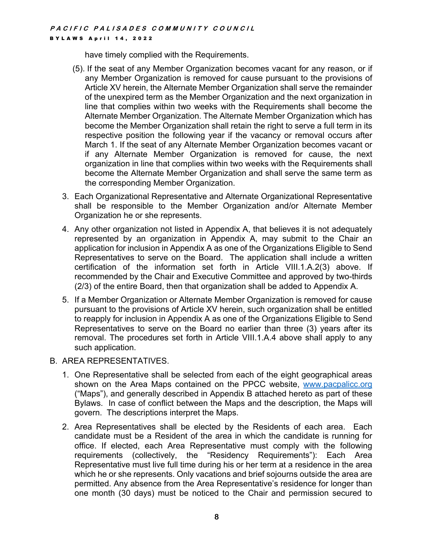have timely complied with the Requirements.

- (5). If the seat of any Member Organization becomes vacant for any reason, or if any Member Organization is removed for cause pursuant to the provisions of Article XV herein, the Alternate Member Organization shall serve the remainder of the unexpired term as the Member Organization and the next organization in line that complies within two weeks with the Requirements shall become the Alternate Member Organization. The Alternate Member Organization which has become the Member Organization shall retain the right to serve a full term in its respective position the following year if the vacancy or removal occurs after March 1. If the seat of any Alternate Member Organization becomes vacant or if any Alternate Member Organization is removed for cause, the next organization in line that complies within two weeks with the Requirements shall become the Alternate Member Organization and shall serve the same term as the corresponding Member Organization.
- 3. Each Organizational Representative and Alternate Organizational Representative shall be responsible to the Member Organization and/or Alternate Member Organization he or she represents.
- 4. Any other organization not listed in Appendix A, that believes it is not adequately represented by an organization in Appendix A, may submit to the Chair an application for inclusion in Appendix A as one of the Organizations Eligible to Send Representatives to serve on the Board. The application shall include a written certification of the information set forth in Article VIII.1.A.2(3) above. If recommended by the Chair and Executive Committee and approved by two-thirds (2/3) of the entire Board, then that organization shall be added to Appendix A.
- 5. If a Member Organization or Alternate Member Organization is removed for cause pursuant to the provisions of Article XV herein, such organization shall be entitled to reapply for inclusion in Appendix A as one of the Organizations Eligible to Send Representatives to serve on the Board no earlier than three (3) years after its removal. The procedures set forth in Article VIII.1.A.4 above shall apply to any such application.

# B. AREA REPRESENTATIVES.

- 1. One Representative shall be selected from each of the eight geographical areas shown on the Area Maps contained on the PPCC website, www.pacpalicc.org ("Maps"), and generally described in Appendix B attached hereto as part of these Bylaws. In case of conflict between the Maps and the description, the Maps will govern. The descriptions interpret the Maps.
- 2. Area Representatives shall be elected by the Residents of each area. Each candidate must be a Resident of the area in which the candidate is running for office. If elected, each Area Representative must comply with the following requirements (collectively, the "Residency Requirements"): Each Area Representative must live full time during his or her term at a residence in the area which he or she represents. Only vacations and brief sojourns outside the area are permitted. Any absence from the Area Representative's residence for longer than one month (30 days) must be noticed to the Chair and permission secured to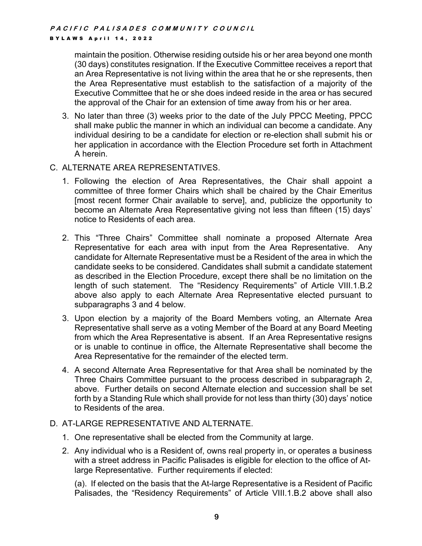maintain the position. Otherwise residing outside his or her area beyond one month (30 days) constitutes resignation. If the Executive Committee receives a report that an Area Representative is not living within the area that he or she represents, then the Area Representative must establish to the satisfaction of a majority of the Executive Committee that he or she does indeed reside in the area or has secured the approval of the Chair for an extension of time away from his or her area.

3. No later than three (3) weeks prior to the date of the July PPCC Meeting, PPCC shall make public the manner in which an individual can become a candidate. Any individual desiring to be a candidate for election or re-election shall submit his or her application in accordance with the Election Procedure set forth in Attachment A herein.

#### C. ALTERNATE AREA REPRESENTATIVES.

- 1. Following the election of Area Representatives, the Chair shall appoint a committee of three former Chairs which shall be chaired by the Chair Emeritus [most recent former Chair available to serve], and, publicize the opportunity to become an Alternate Area Representative giving not less than fifteen (15) days' notice to Residents of each area.
- 2. This "Three Chairs" Committee shall nominate a proposed Alternate Area Representative for each area with input from the Area Representative. Any candidate for Alternate Representative must be a Resident of the area in which the candidate seeks to be considered. Candidates shall submit a candidate statement as described in the Election Procedure, except there shall be no limitation on the length of such statement. The "Residency Requirements" of Article VIII.1.B.2 above also apply to each Alternate Area Representative elected pursuant to subparagraphs 3 and 4 below.
- 3. Upon election by a majority of the Board Members voting, an Alternate Area Representative shall serve as a voting Member of the Board at any Board Meeting from which the Area Representative is absent. If an Area Representative resigns or is unable to continue in office, the Alternate Representative shall become the Area Representative for the remainder of the elected term.
- 4. A second Alternate Area Representative for that Area shall be nominated by the Three Chairs Committee pursuant to the process described in subparagraph 2, above. Further details on second Alternate election and succession shall be set forth by a Standing Rule which shall provide for not less than thirty (30) days' notice to Residents of the area.

# D. AT-LARGE REPRESENTATIVE AND ALTERNATE.

- 1. One representative shall be elected from the Community at large.
- 2. Any individual who is a Resident of, owns real property in, or operates a business with a street address in Pacific Palisades is eligible for election to the office of Atlarge Representative. Further requirements if elected:

(a). If elected on the basis that the At-large Representative is a Resident of Pacific Palisades, the "Residency Requirements" of Article VIII.1.B.2 above shall also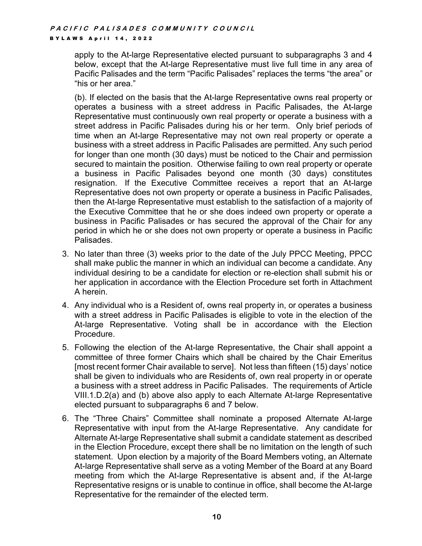apply to the At-large Representative elected pursuant to subparagraphs 3 and 4 below, except that the At-large Representative must live full time in any area of Pacific Palisades and the term "Pacific Palisades" replaces the terms "the area" or "his or her area."

(b). If elected on the basis that the At-large Representative owns real property or operates a business with a street address in Pacific Palisades, the At-large Representative must continuously own real property or operate a business with a street address in Pacific Palisades during his or her term. Only brief periods of time when an At-large Representative may not own real property or operate a business with a street address in Pacific Palisades are permitted. Any such period for longer than one month (30 days) must be noticed to the Chair and permission secured to maintain the position. Otherwise failing to own real property or operate a business in Pacific Palisades beyond one month (30 days) constitutes resignation. If the Executive Committee receives a report that an At-large Representative does not own property or operate a business in Pacific Palisades, then the At-large Representative must establish to the satisfaction of a majority of the Executive Committee that he or she does indeed own property or operate a business in Pacific Palisades or has secured the approval of the Chair for any period in which he or she does not own property or operate a business in Pacific Palisades.

- 3. No later than three (3) weeks prior to the date of the July PPCC Meeting, PPCC shall make public the manner in which an individual can become a candidate. Any individual desiring to be a candidate for election or re-election shall submit his or her application in accordance with the Election Procedure set forth in Attachment A herein.
- 4. Any individual who is a Resident of, owns real property in, or operates a business with a street address in Pacific Palisades is eligible to vote in the election of the At-large Representative. Voting shall be in accordance with the Election Procedure.
- 5. Following the election of the At-large Representative, the Chair shall appoint a committee of three former Chairs which shall be chaired by the Chair Emeritus [most recent former Chair available to serve]. Not less than fifteen (15) days' notice shall be given to individuals who are Residents of, own real property in or operate a business with a street address in Pacific Palisades. The requirements of Article VIII.1.D.2(a) and (b) above also apply to each Alternate At-large Representative elected pursuant to subparagraphs 6 and 7 below.
- 6. The "Three Chairs" Committee shall nominate a proposed Alternate At-large Representative with input from the At-large Representative. Any candidate for Alternate At-large Representative shall submit a candidate statement as described in the Election Procedure, except there shall be no limitation on the length of such statement. Upon election by a majority of the Board Members voting, an Alternate At-large Representative shall serve as a voting Member of the Board at any Board meeting from which the At-large Representative is absent and, if the At-large Representative resigns or is unable to continue in office, shall become the At-large Representative for the remainder of the elected term.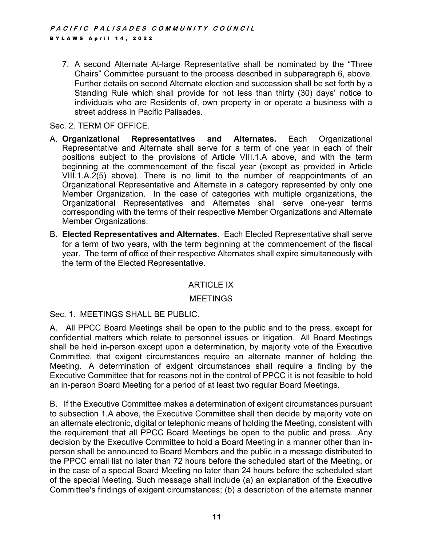7. A second Alternate At-large Representative shall be nominated by the "Three Chairs" Committee pursuant to the process described in subparagraph 6, above. Further details on second Alternate election and succession shall be set forth by a Standing Rule which shall provide for not less than thirty (30) days' notice to individuals who are Residents of, own property in or operate a business with a street address in Pacific Palisades.

#### Sec. 2. TERM OF OFFICE.

- A. **Organizational Representatives and Alternates.** Each Organizational Representative and Alternate shall serve for a term of one year in each of their positions subject to the provisions of Article VIII.1.A above, and with the term beginning at the commencement of the fiscal year (except as provided in Article VIII.1.A.2(5) above). There is no limit to the number of reappointments of an Organizational Representative and Alternate in a category represented by only one Member Organization. In the case of categories with multiple organizations, the Organizational Representatives and Alternates shall serve one-year terms corresponding with the terms of their respective Member Organizations and Alternate Member Organizations.
- B. **Elected Representatives and Alternates.** Each Elected Representative shall serve for a term of two years, with the term beginning at the commencement of the fiscal year. The term of office of their respective Alternates shall expire simultaneously with the term of the Elected Representative.

# ARTICLE IX

#### MEETINGS

#### Sec. 1. MEETINGS SHALL BE PUBLIC.

A. All PPCC Board Meetings shall be open to the public and to the press, except for confidential matters which relate to personnel issues or litigation. All Board Meetings shall be held in-person except upon a determination, by majority vote of the Executive Committee, that exigent circumstances require an alternate manner of holding the Meeting. A determination of exigent circumstances shall require a finding by the Executive Committee that for reasons not in the control of PPCC it is not feasible to hold an in-person Board Meeting for a period of at least two regular Board Meetings.

B. If the Executive Committee makes a determination of exigent circumstances pursuant to subsection 1.A above, the Executive Committee shall then decide by majority vote on an alternate electronic, digital or telephonic means of holding the Meeting, consistent with the requirement that all PPCC Board Meetings be open to the public and press. Any decision by the Executive Committee to hold a Board Meeting in a manner other than inperson shall be announced to Board Members and the public in a message distributed to the PPCC email list no later than 72 hours before the scheduled start of the Meeting, or in the case of a special Board Meeting no later than 24 hours before the scheduled start of the special Meeting. Such message shall include (a) an explanation of the Executive Committee's findings of exigent circumstances; (b) a description of the alternate manner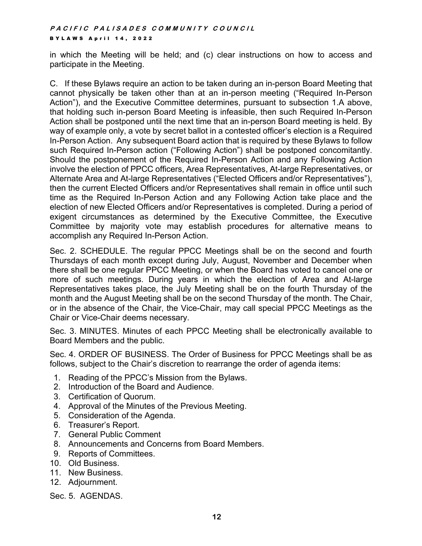in which the Meeting will be held; and (c) clear instructions on how to access and participate in the Meeting.

C. If these Bylaws require an action to be taken during an in-person Board Meeting that cannot physically be taken other than at an in-person meeting ("Required In-Person Action"), and the Executive Committee determines, pursuant to subsection 1.A above, that holding such in-person Board Meeting is infeasible, then such Required In-Person Action shall be postponed until the next time that an in-person Board meeting is held. By way of example only, a vote by secret ballot in a contested officer's election is a Required In-Person Action. Any subsequent Board action that is required by these Bylaws to follow such Required In-Person action ("Following Action") shall be postponed concomitantly. Should the postponement of the Required In-Person Action and any Following Action involve the election of PPCC officers, Area Representatives, At-large Representatives, or Alternate Area and At-large Representatives ("Elected Officers and/or Representatives"), then the current Elected Officers and/or Representatives shall remain in office until such time as the Required In-Person Action and any Following Action take place and the election of new Elected Officers and/or Representatives is completed. During a period of exigent circumstances as determined by the Executive Committee, the Executive Committee by majority vote may establish procedures for alternative means to accomplish any Required In-Person Action.

Sec. 2. SCHEDULE. The regular PPCC Meetings shall be on the second and fourth Thursdays of each month except during July, August, November and December when there shall be one regular PPCC Meeting, or when the Board has voted to cancel one or more of such meetings. During years in which the election of Area and At-large Representatives takes place, the July Meeting shall be on the fourth Thursday of the month and the August Meeting shall be on the second Thursday of the month. The Chair, or in the absence of the Chair, the Vice-Chair, may call special PPCC Meetings as the Chair or Vice-Chair deems necessary.

Sec. 3. MINUTES. Minutes of each PPCC Meeting shall be electronically available to Board Members and the public.

Sec. 4. ORDER OF BUSINESS. The Order of Business for PPCC Meetings shall be as follows, subject to the Chair's discretion to rearrange the order of agenda items:

- 1. Reading of the PPCC's Mission from the Bylaws.
- 2. Introduction of the Board and Audience.
- 3. Certification of Quorum.
- 4. Approval of the Minutes of the Previous Meeting.
- 5. Consideration of the Agenda.
- 6. Treasurer's Report.
- 7. General Public Comment
- 8. Announcements and Concerns from Board Members.
- 9. Reports of Committees.
- 10. Old Business.
- 11. New Business.
- 12. Adjournment.

Sec. 5. AGENDAS.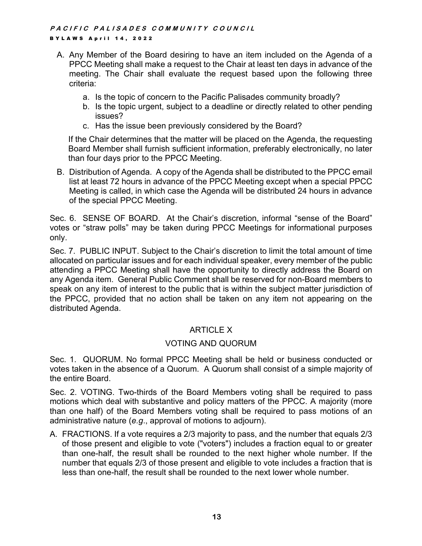- A. Any Member of the Board desiring to have an item included on the Agenda of a PPCC Meeting shall make a request to the Chair at least ten days in advance of the meeting. The Chair shall evaluate the request based upon the following three criteria:
	- a. Is the topic of concern to the Pacific Palisades community broadly?
	- b. Is the topic urgent, subject to a deadline or directly related to other pending issues?
	- c. Has the issue been previously considered by the Board?

If the Chair determines that the matter will be placed on the Agenda, the requesting Board Member shall furnish sufficient information, preferably electronically, no later than four days prior to the PPCC Meeting.

B. Distribution of Agenda. A copy of the Agenda shall be distributed to the PPCC email list at least 72 hours in advance of the PPCC Meeting except when a special PPCC Meeting is called, in which case the Agenda will be distributed 24 hours in advance of the special PPCC Meeting.

Sec. 6. SENSE OF BOARD. At the Chair's discretion, informal "sense of the Board" votes or "straw polls" may be taken during PPCC Meetings for informational purposes only.

Sec. 7. PUBLIC INPUT. Subject to the Chair's discretion to limit the total amount of time allocated on particular issues and for each individual speaker, every member of the public attending a PPCC Meeting shall have the opportunity to directly address the Board on any Agenda item. General Public Comment shall be reserved for non-Board members to speak on any item of interest to the public that is within the subject matter jurisdiction of the PPCC, provided that no action shall be taken on any item not appearing on the distributed Agenda.

# ARTICLE X

# VOTING AND QUORUM

Sec. 1. QUORUM. No formal PPCC Meeting shall be held or business conducted or votes taken in the absence of a Quorum. A Quorum shall consist of a simple majority of the entire Board.

Sec. 2. VOTING. Two-thirds of the Board Members voting shall be required to pass motions which deal with substantive and policy matters of the PPCC. A majority (more than one half) of the Board Members voting shall be required to pass motions of an administrative nature (*e.g*., approval of motions to adjourn).

A. FRACTIONS. If a vote requires a 2/3 majority to pass, and the number that equals 2/3 of those present and eligible to vote ("voters") includes a fraction equal to or greater than one-half, the result shall be rounded to the next higher whole number. If the number that equals 2/3 of those present and eligible to vote includes a fraction that is less than one-half, the result shall be rounded to the next lower whole number.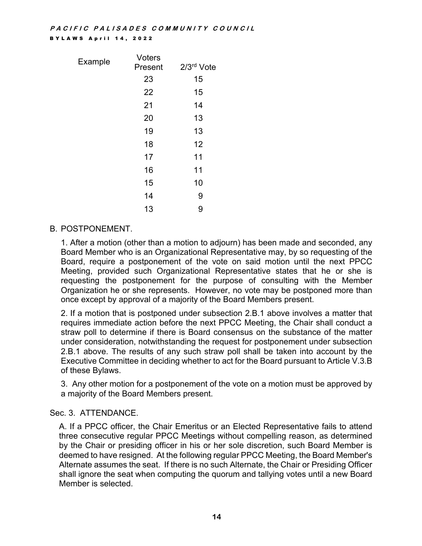| Example | Voters  |            |
|---------|---------|------------|
|         | Present | 2/3rd Vote |
|         | 23      | 15         |
|         | 22      | 15         |
|         | 21      | 14         |
|         | 20      | 13         |
|         | 19      | 13         |
|         | 18      | 12         |
|         | 17      | 11         |
|         | 16      | 11         |
|         | 15      | 10         |
|         | 14      | 9          |
|         | 13      | 9          |
|         |         |            |

# B. POSTPONEMENT.

1. After a motion (other than a motion to adjourn) has been made and seconded, any Board Member who is an Organizational Representative may, by so requesting of the Board, require a postponement of the vote on said motion until the next PPCC Meeting, provided such Organizational Representative states that he or she is requesting the postponement for the purpose of consulting with the Member Organization he or she represents. However, no vote may be postponed more than once except by approval of a majority of the Board Members present.

2. If a motion that is postponed under subsection 2.B.1 above involves a matter that requires immediate action before the next PPCC Meeting, the Chair shall conduct a straw poll to determine if there is Board consensus on the substance of the matter under consideration, notwithstanding the request for postponement under subsection 2.B.1 above. The results of any such straw poll shall be taken into account by the Executive Committee in deciding whether to act for the Board pursuant to Article V.3.B of these Bylaws.

3. Any other motion for a postponement of the vote on a motion must be approved by a majority of the Board Members present.

# Sec. 3. ATTENDANCE.

A. If a PPCC officer, the Chair Emeritus or an Elected Representative fails to attend three consecutive regular PPCC Meetings without compelling reason, as determined by the Chair or presiding officer in his or her sole discretion, such Board Member is deemed to have resigned. At the following regular PPCC Meeting, the Board Member's Alternate assumes the seat. If there is no such Alternate, the Chair or Presiding Officer shall ignore the seat when computing the quorum and tallying votes until a new Board Member is selected.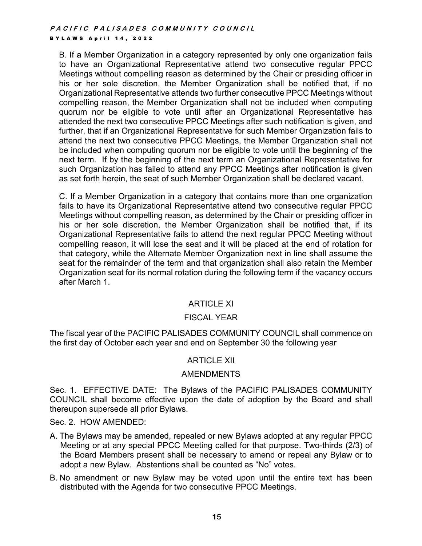B. If a Member Organization in a category represented by only one organization fails to have an Organizational Representative attend two consecutive regular PPCC Meetings without compelling reason as determined by the Chair or presiding officer in his or her sole discretion, the Member Organization shall be notified that, if no Organizational Representative attends two further consecutive PPCC Meetings without compelling reason, the Member Organization shall not be included when computing quorum nor be eligible to vote until after an Organizational Representative has attended the next two consecutive PPCC Meetings after such notification is given, and further, that if an Organizational Representative for such Member Organization fails to attend the next two consecutive PPCC Meetings, the Member Organization shall not be included when computing quorum nor be eligible to vote until the beginning of the next term. If by the beginning of the next term an Organizational Representative for such Organization has failed to attend any PPCC Meetings after notification is given as set forth herein, the seat of such Member Organization shall be declared vacant.

C. If a Member Organization in a category that contains more than one organization fails to have its Organizational Representative attend two consecutive regular PPCC Meetings without compelling reason, as determined by the Chair or presiding officer in his or her sole discretion, the Member Organization shall be notified that, if its Organizational Representative fails to attend the next regular PPCC Meeting without compelling reason, it will lose the seat and it will be placed at the end of rotation for that category, while the Alternate Member Organization next in line shall assume the seat for the remainder of the term and that organization shall also retain the Member Organization seat for its normal rotation during the following term if the vacancy occurs after March 1.

# ARTICLE XI

# FISCAL YEAR

The fiscal year of the PACIFIC PALISADES COMMUNITY COUNCIL shall commence on the first day of October each year and end on September 30 the following year

# ARTICLE XII

#### AMENDMENTS

Sec. 1. EFFECTIVE DATE: The Bylaws of the PACIFIC PALISADES COMMUNITY COUNCIL shall become effective upon the date of adoption by the Board and shall thereupon supersede all prior Bylaws.

Sec. 2. HOW AMENDED:

- A. The Bylaws may be amended, repealed or new Bylaws adopted at any regular PPCC Meeting or at any special PPCC Meeting called for that purpose. Two-thirds (2/3) of the Board Members present shall be necessary to amend or repeal any Bylaw or to adopt a new Bylaw. Abstentions shall be counted as "No" votes.
- B. No amendment or new Bylaw may be voted upon until the entire text has been distributed with the Agenda for two consecutive PPCC Meetings.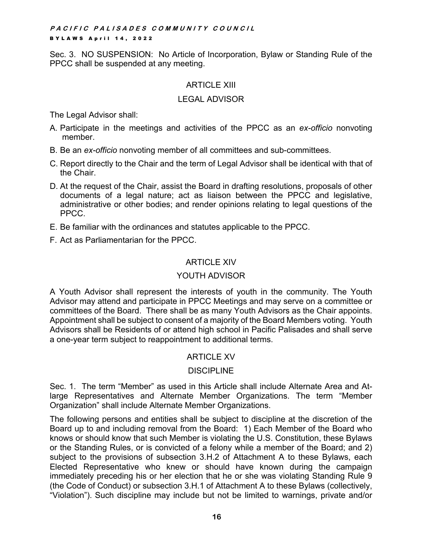Sec. 3. NO SUSPENSION: No Article of Incorporation, Bylaw or Standing Rule of the PPCC shall be suspended at any meeting.

# ARTICLE XIII

# LEGAL ADVISOR

The Legal Advisor shall:

- A. Participate in the meetings and activities of the PPCC as an *ex-officio* nonvoting member.
- B. Be an *ex-officio* nonvoting member of all committees and sub-committees.
- C. Report directly to the Chair and the term of Legal Advisor shall be identical with that of the Chair.
- D. At the request of the Chair, assist the Board in drafting resolutions, proposals of other documents of a legal nature; act as liaison between the PPCC and legislative, administrative or other bodies; and render opinions relating to legal questions of the PPCC.
- E. Be familiar with the ordinances and statutes applicable to the PPCC.
- F. Act as Parliamentarian for the PPCC.

# ARTICLE XIV

# YOUTH ADVISOR

A Youth Advisor shall represent the interests of youth in the community. The Youth Advisor may attend and participate in PPCC Meetings and may serve on a committee or committees of the Board. There shall be as many Youth Advisors as the Chair appoints. Appointment shall be subject to consent of a majority of the Board Members voting. Youth Advisors shall be Residents of or attend high school in Pacific Palisades and shall serve a one-year term subject to reappointment to additional terms.

# ARTICLE XV

# **DISCIPLINE**

Sec. 1. The term "Member" as used in this Article shall include Alternate Area and Atlarge Representatives and Alternate Member Organizations. The term "Member Organization" shall include Alternate Member Organizations.

The following persons and entities shall be subject to discipline at the discretion of the Board up to and including removal from the Board: 1) Each Member of the Board who knows or should know that such Member is violating the U.S. Constitution, these Bylaws or the Standing Rules, or is convicted of a felony while a member of the Board; and 2) subject to the provisions of subsection 3.H.2 of Attachment A to these Bylaws, each Elected Representative who knew or should have known during the campaign immediately preceding his or her election that he or she was violating Standing Rule 9 (the Code of Conduct) or subsection 3.H.1 of Attachment A to these Bylaws (collectively, "Violation"). Such discipline may include but not be limited to warnings, private and/or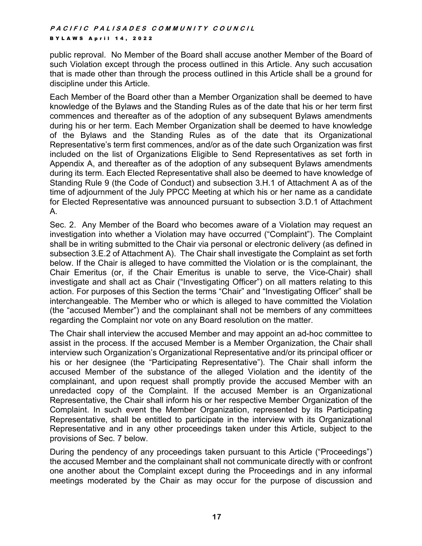public reproval. No Member of the Board shall accuse another Member of the Board of such Violation except through the process outlined in this Article. Any such accusation that is made other than through the process outlined in this Article shall be a ground for discipline under this Article.

Each Member of the Board other than a Member Organization shall be deemed to have knowledge of the Bylaws and the Standing Rules as of the date that his or her term first commences and thereafter as of the adoption of any subsequent Bylaws amendments during his or her term. Each Member Organization shall be deemed to have knowledge of the Bylaws and the Standing Rules as of the date that its Organizational Representative's term first commences, and/or as of the date such Organization was first included on the list of Organizations Eligible to Send Representatives as set forth in Appendix A, and thereafter as of the adoption of any subsequent Bylaws amendments during its term. Each Elected Representative shall also be deemed to have knowledge of Standing Rule 9 (the Code of Conduct) and subsection 3.H.1 of Attachment A as of the time of adjournment of the July PPCC Meeting at which his or her name as a candidate for Elected Representative was announced pursuant to subsection 3.D.1 of Attachment A.

Sec. 2. Any Member of the Board who becomes aware of a Violation may request an investigation into whether a Violation may have occurred ("Complaint"). The Complaint shall be in writing submitted to the Chair via personal or electronic delivery (as defined in subsection 3.E.2 of Attachment A). The Chair shall investigate the Complaint as set forth below. If the Chair is alleged to have committed the Violation or is the complainant, the Chair Emeritus (or, if the Chair Emeritus is unable to serve, the Vice-Chair) shall investigate and shall act as Chair ("Investigating Officer") on all matters relating to this action. For purposes of this Section the terms "Chair" and "Investigating Officer" shall be interchangeable. The Member who or which is alleged to have committed the Violation (the "accused Member") and the complainant shall not be members of any committees regarding the Complaint nor vote on any Board resolution on the matter.

The Chair shall interview the accused Member and may appoint an ad-hoc committee to assist in the process. If the accused Member is a Member Organization, the Chair shall interview such Organization's Organizational Representative and/or its principal officer or his or her designee (the "Participating Representative"). The Chair shall inform the accused Member of the substance of the alleged Violation and the identity of the complainant, and upon request shall promptly provide the accused Member with an unredacted copy of the Complaint. If the accused Member is an Organizational Representative, the Chair shall inform his or her respective Member Organization of the Complaint. In such event the Member Organization, represented by its Participating Representative, shall be entitled to participate in the interview with its Organizational Representative and in any other proceedings taken under this Article, subject to the provisions of Sec. 7 below.

During the pendency of any proceedings taken pursuant to this Article ("Proceedings") the accused Member and the complainant shall not communicate directly with or confront one another about the Complaint except during the Proceedings and in any informal meetings moderated by the Chair as may occur for the purpose of discussion and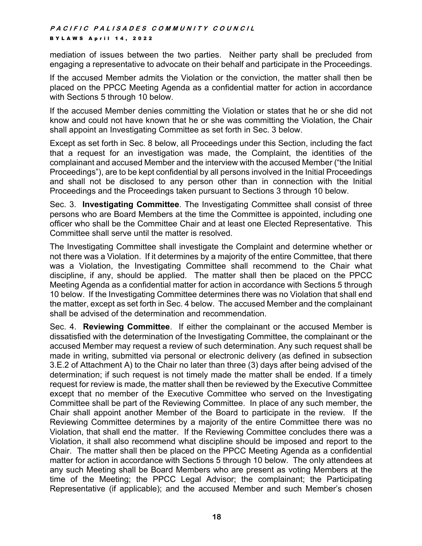mediation of issues between the two parties. Neither party shall be precluded from engaging a representative to advocate on their behalf and participate in the Proceedings.

If the accused Member admits the Violation or the conviction, the matter shall then be placed on the PPCC Meeting Agenda as a confidential matter for action in accordance with Sections 5 through 10 below.

If the accused Member denies committing the Violation or states that he or she did not know and could not have known that he or she was committing the Violation, the Chair shall appoint an Investigating Committee as set forth in Sec. 3 below.

Except as set forth in Sec. 8 below, all Proceedings under this Section, including the fact that a request for an investigation was made, the Complaint, the identities of the complainant and accused Member and the interview with the accused Member ("the Initial Proceedings"), are to be kept confidential by all persons involved in the Initial Proceedings and shall not be disclosed to any person other than in connection with the Initial Proceedings and the Proceedings taken pursuant to Sections 3 through 10 below.

Sec. 3. **Investigating Committee**. The Investigating Committee shall consist of three persons who are Board Members at the time the Committee is appointed, including one officer who shall be the Committee Chair and at least one Elected Representative. This Committee shall serve until the matter is resolved.

The Investigating Committee shall investigate the Complaint and determine whether or not there was a Violation. If it determines by a majority of the entire Committee, that there was a Violation, the Investigating Committee shall recommend to the Chair what discipline, if any, should be applied. The matter shall then be placed on the PPCC Meeting Agenda as a confidential matter for action in accordance with Sections 5 through 10 below. If the Investigating Committee determines there was no Violation that shall end the matter, except as set forth in Sec. 4 below. The accused Member and the complainant shall be advised of the determination and recommendation.

Sec. 4. **Reviewing Committee**. If either the complainant or the accused Member is dissatisfied with the determination of the Investigating Committee, the complainant or the accused Member may request a review of such determination. Any such request shall be made in writing, submitted via personal or electronic delivery (as defined in subsection 3.E.2 of Attachment A) to the Chair no later than three (3) days after being advised of the determination; if such request is not timely made the matter shall be ended. If a timely request for review is made, the matter shall then be reviewed by the Executive Committee except that no member of the Executive Committee who served on the Investigating Committee shall be part of the Reviewing Committee. In place of any such member, the Chair shall appoint another Member of the Board to participate in the review. If the Reviewing Committee determines by a majority of the entire Committee there was no Violation, that shall end the matter. If the Reviewing Committee concludes there was a Violation, it shall also recommend what discipline should be imposed and report to the Chair. The matter shall then be placed on the PPCC Meeting Agenda as a confidential matter for action in accordance with Sections 5 through 10 below. The only attendees at any such Meeting shall be Board Members who are present as voting Members at the time of the Meeting; the PPCC Legal Advisor; the complainant; the Participating Representative (if applicable); and the accused Member and such Member's chosen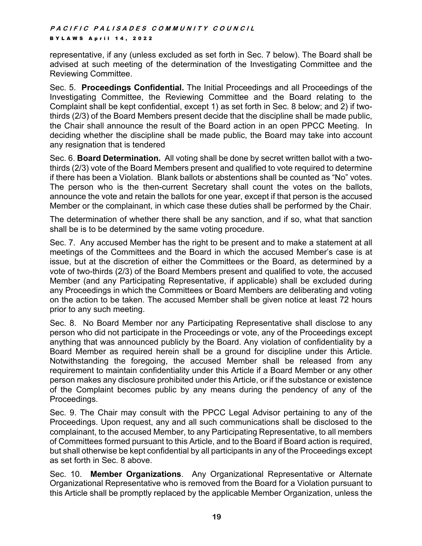representative, if any (unless excluded as set forth in Sec. 7 below). The Board shall be advised at such meeting of the determination of the Investigating Committee and the Reviewing Committee.

Sec. 5. **Proceedings Confidential.** The Initial Proceedings and all Proceedings of the Investigating Committee, the Reviewing Committee and the Board relating to the Complaint shall be kept confidential, except 1) as set forth in Sec. 8 below; and 2) if twothirds (2/3) of the Board Members present decide that the discipline shall be made public, the Chair shall announce the result of the Board action in an open PPCC Meeting. In deciding whether the discipline shall be made public, the Board may take into account any resignation that is tendered

Sec. 6. **Board Determination.** All voting shall be done by secret written ballot with a twothirds (2/3) vote of the Board Members present and qualified to vote required to determine if there has been a Violation. Blank ballots or abstentions shall be counted as "No" votes. The person who is the then-current Secretary shall count the votes on the ballots, announce the vote and retain the ballots for one year, except if that person is the accused Member or the complainant, in which case these duties shall be performed by the Chair.

The determination of whether there shall be any sanction, and if so, what that sanction shall be is to be determined by the same voting procedure.

Sec. 7. Any accused Member has the right to be present and to make a statement at all meetings of the Committees and the Board in which the accused Member's case is at issue, but at the discretion of either the Committees or the Board, as determined by a vote of two-thirds (2/3) of the Board Members present and qualified to vote, the accused Member (and any Participating Representative, if applicable) shall be excluded during any Proceedings in which the Committees or Board Members are deliberating and voting on the action to be taken. The accused Member shall be given notice at least 72 hours prior to any such meeting.

Sec. 8. No Board Member nor any Participating Representative shall disclose to any person who did not participate in the Proceedings or vote, any of the Proceedings except anything that was announced publicly by the Board. Any violation of confidentiality by a Board Member as required herein shall be a ground for discipline under this Article. Notwithstanding the foregoing, the accused Member shall be released from any requirement to maintain confidentiality under this Article if a Board Member or any other person makes any disclosure prohibited under this Article, or if the substance or existence of the Complaint becomes public by any means during the pendency of any of the Proceedings.

Sec. 9. The Chair may consult with the PPCC Legal Advisor pertaining to any of the Proceedings. Upon request, any and all such communications shall be disclosed to the complainant, to the accused Member, to any Participating Representative, to all members of Committees formed pursuant to this Article, and to the Board if Board action is required, but shall otherwise be kept confidential by all participants in any of the Proceedings except as set forth in Sec. 8 above.

Sec. 10. **Member Organizations**. Any Organizational Representative or Alternate Organizational Representative who is removed from the Board for a Violation pursuant to this Article shall be promptly replaced by the applicable Member Organization, unless the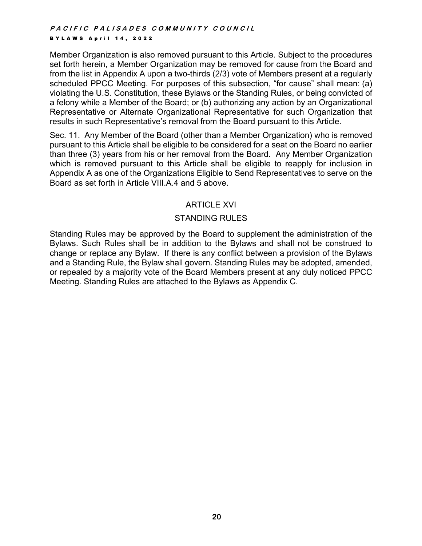Member Organization is also removed pursuant to this Article. Subject to the procedures set forth herein, a Member Organization may be removed for cause from the Board and from the list in Appendix A upon a two-thirds (2/3) vote of Members present at a regularly scheduled PPCC Meeting. For purposes of this subsection, "for cause" shall mean: (a) violating the U.S. Constitution, these Bylaws or the Standing Rules, or being convicted of a felony while a Member of the Board; or (b) authorizing any action by an Organizational Representative or Alternate Organizational Representative for such Organization that results in such Representative's removal from the Board pursuant to this Article.

Sec. 11. Any Member of the Board (other than a Member Organization) who is removed pursuant to this Article shall be eligible to be considered for a seat on the Board no earlier than three (3) years from his or her removal from the Board. Any Member Organization which is removed pursuant to this Article shall be eligible to reapply for inclusion in Appendix A as one of the Organizations Eligible to Send Representatives to serve on the Board as set forth in Article VIII.A.4 and 5 above.

# ARTICLE XVI

# STANDING RULES

Standing Rules may be approved by the Board to supplement the administration of the Bylaws. Such Rules shall be in addition to the Bylaws and shall not be construed to change or replace any Bylaw. If there is any conflict between a provision of the Bylaws and a Standing Rule, the Bylaw shall govern. Standing Rules may be adopted, amended, or repealed by a majority vote of the Board Members present at any duly noticed PPCC Meeting. Standing Rules are attached to the Bylaws as Appendix C.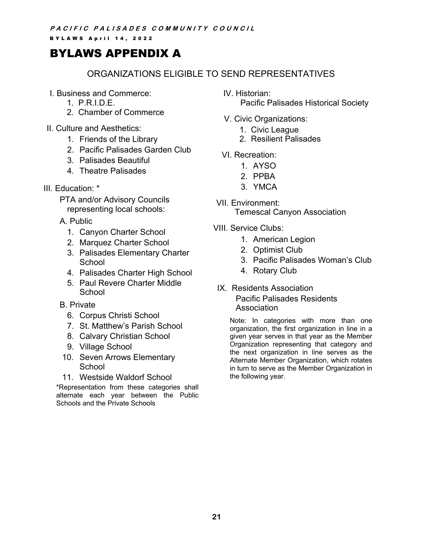# BYLAWS APPENDIX A

# ORGANIZATIONS ELIGIBLE TO SEND REPRESENTATIVES

- I. Business and Commerce:
	- 1. P.R.I.D.E.
	- 2. Chamber of Commerce
- II. Culture and Aesthetics:
	- 1. Friends of the Library
	- 2. Pacific Palisades Garden Club
	- 3. Palisades Beautiful
	- 4. Theatre Palisades
- III*.* Education: \*
	- PTA and/or Advisory Councils representing local schools:
	- A. Public
		- 1. Canyon Charter School
		- 2. Marquez Charter School
		- 3. Palisades Elementary Charter School
		- 4. Palisades Charter High School
		- 5. Paul Revere Charter Middle **School**
	- B. Private
		- 6. Corpus Christi School
		- 7. St. Matthew's Parish School
		- 8. Calvary Christian School
		- 9. Village School
	- 10. Seven Arrows Elementary **School**
	- 11. Westside Waldorf School

\*Representation from these categories shall alternate each year between the Public Schools and the Private Schools

IV. Historian:

Pacific Palisades Historical Society

- V. Civic Organizations:
	- 1. Civic League
	- 2. Resilient Palisades
- VI. Recreation:
	- 1. AYSO
	- 2. PPBA
	- 3. YMCA
- VII. Environment: Temescal Canyon Association
- VIII. Service Clubs:
	- 1. American Legion
	- 2. Optimist Club
	- 3. Pacific Palisades Woman's Club
	- 4. Rotary Club
- IX. Residents Association Pacific Palisades Residents Association

Note: In categories with more than one organization, the first organization in line in a given year serves in that year as the Member Organization representing that category and the next organization in line serves as the Alternate Member Organization, which rotates in turn to serve as the Member Organization in the following year.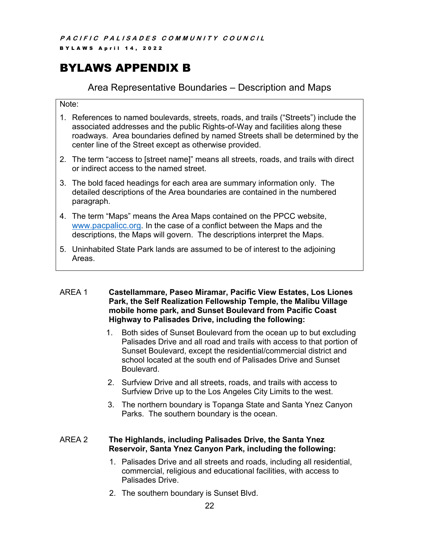**PACIFIC PALISADES COMMUNITY COUNCIL** 

**BYLAWS April 14, 2022** 

# BYLAWS APPENDIX B

# Area Representative Boundaries – Description and Maps

Note:

- 1. References to named boulevards, streets, roads, and trails ("Streets") include the associated addresses and the public Rights-of-Way and facilities along these roadways. Area boundaries defined by named Streets shall be determined by the center line of the Street except as otherwise provided.
- 2. The term "access to [street name]" means all streets, roads, and trails with direct or indirect access to the named street.
- 3. The bold faced headings for each area are summary information only. The detailed descriptions of the Area boundaries are contained in the numbered paragraph.
- 4. The term "Maps" means the Area Maps contained on the PPCC website, www.pacpalicc.org. In the case of a conflict between the Maps and the descriptions, the Maps will govern. The descriptions interpret the Maps.
- 5. Uninhabited State Park lands are assumed to be of interest to the adjoining Areas.

#### AREA 1 **Castellammare, Paseo Miramar, Pacific View Estates, Los Liones Park, the Self Realization Fellowship Temple, the Malibu Village mobile home park, and Sunset Boulevard from Pacific Coast Highway to Palisades Drive, including the following:**

- 1. Both sides of Sunset Boulevard from the ocean up to but excluding Palisades Drive and all road and trails with access to that portion of Sunset Boulevard, except the residential/commercial district and school located at the south end of Palisades Drive and Sunset Boulevard.
- 2. Surfview Drive and all streets, roads, and trails with access to Surfview Drive up to the Los Angeles City Limits to the west.
- 3. The northern boundary is Topanga State and Santa Ynez Canyon Parks. The southern boundary is the ocean.

# AREA 2 **The Highlands, including Palisades Drive, the Santa Ynez Reservoir, Santa Ynez Canyon Park, including the following:**

- 1. Palisades Drive and all streets and roads, including all residential, commercial, religious and educational facilities, with access to Palisades Drive.
- 2. The southern boundary is Sunset Blvd.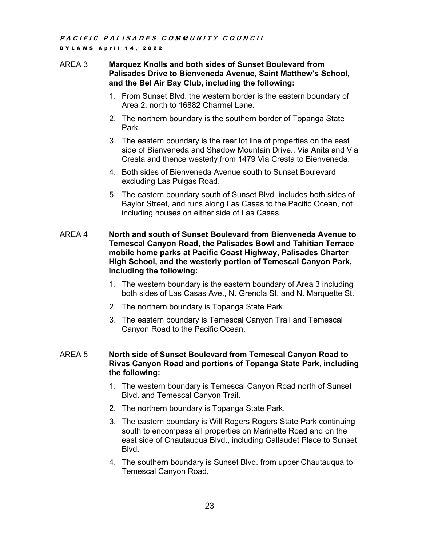# AREA 3 **Marquez Knolls and both sides of Sunset Boulevard from Palisades Drive to Bienveneda Avenue, Saint Matthew's School, and the Bel Air Bay Club, including the following:**

- 1. From Sunset Blvd. the western border is the eastern boundary of Area 2, north to 16882 Charmel Lane.
- 2. The northern boundary is the southern border of Topanga State Park.
- 3. The eastern boundary is the rear lot line of properties on the east side of Bienveneda and Shadow Mountain Drive., Via Anita and Via Cresta and thence westerly from 1479 Via Cresta to Bienveneda.
- 4. Both sides of Bienveneda Avenue south to Sunset Boulevard excluding Las Pulgas Road.
- 5. The eastern boundary south of Sunset Blvd. includes both sides of Baylor Street, and runs along Las Casas to the Pacific Ocean, not including houses on either side of Las Casas.
- AREA 4 **North and south of Sunset Boulevard from Bienveneda Avenue to Temescal Canyon Road, the Palisades Bowl and Tahitian Terrace mobile home parks at Pacific Coast Highway, Palisades Charter High School, and the westerly portion of Temescal Canyon Park, including the following:**
	- 1. The western boundary is the eastern boundary of Area 3 including both sides of Las Casas Ave., N. Grenola St. and N. Marquette St.
	- 2. The northern boundary is Topanga State Park.
	- 3. The eastern boundary is Temescal Canyon Trail and Temescal Canyon Road to the Pacific Ocean.

#### AREA 5 **North side of Sunset Boulevard from Temescal Canyon Road to Rivas Canyon Road and portions of Topanga State Park, including the following:**

- 1. The western boundary is Temescal Canyon Road north of Sunset Blvd. and Temescal Canyon Trail.
- 2. The northern boundary is Topanga State Park.
- 3. The eastern boundary is Will Rogers Rogers State Park continuing south to encompass all properties on Marinette Road and on the east side of Chautauqua Blvd., including Gallaudet Place to Sunset Blvd.
- 4. The southern boundary is Sunset Blvd. from upper Chautauqua to Temescal Canyon Road.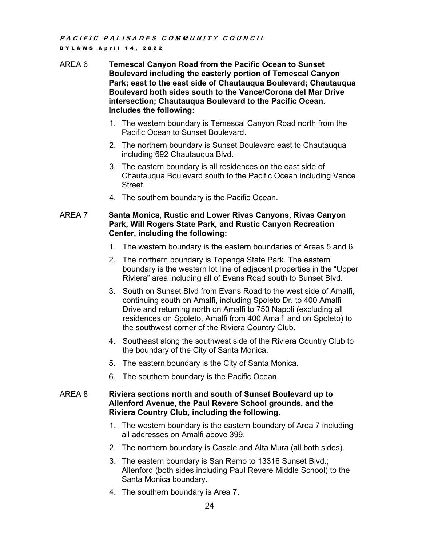#### AREA 6 **Temescal Canyon Road from the Pacific Ocean to Sunset Boulevard including the easterly portion of Temescal Canyon Park; east to the east side of Chautauqua Boulevard; Chautauqua Boulevard both sides south to the Vance/Corona del Mar Drive intersection; Chautauqua Boulevard to the Pacific Ocean. Includes the following:**

- 1. The western boundary is Temescal Canyon Road north from the Pacific Ocean to Sunset Boulevard.
- 2. The northern boundary is Sunset Boulevard east to Chautauqua including 692 Chautauqua Blvd.
- 3. The eastern boundary is all residences on the east side of Chautauqua Boulevard south to the Pacific Ocean including Vance Street.
- 4. The southern boundary is the Pacific Ocean.

#### AREA 7 **Santa Monica, Rustic and Lower Rivas Canyons, Rivas Canyon Park, Will Rogers State Park, and Rustic Canyon Recreation Center, including the following:**

- 1. The western boundary is the eastern boundaries of Areas 5 and 6.
- 2. The northern boundary is Topanga State Park. The eastern boundary is the western lot line of adjacent properties in the "Upper Riviera" area including all of Evans Road south to Sunset Blvd.
- 3. South on Sunset Blvd from Evans Road to the west side of Amalfi, continuing south on Amalfi, including Spoleto Dr. to 400 Amalfi Drive and returning north on Amalfi to 750 Napoli (excluding all residences on Spoleto, Amalfi from 400 Amalfi and on Spoleto) to the southwest corner of the Riviera Country Club.
- 4. Southeast along the southwest side of the Riviera Country Club to the boundary of the City of Santa Monica.
- 5. The eastern boundary is the City of Santa Monica.
- 6. The southern boundary is the Pacific Ocean.

#### AREA 8 **Riviera sections north and south of Sunset Boulevard up to Allenford Avenue, the Paul Revere School grounds, and the Riviera Country Club, including the following.**

- 1. The western boundary is the eastern boundary of Area 7 including all addresses on Amalfi above 399.
- 2. The northern boundary is Casale and Alta Mura (all both sides).
- 3. The eastern boundary is San Remo to 13316 Sunset Blvd.; Allenford (both sides including Paul Revere Middle School) to the Santa Monica boundary.
- 4. The southern boundary is Area 7.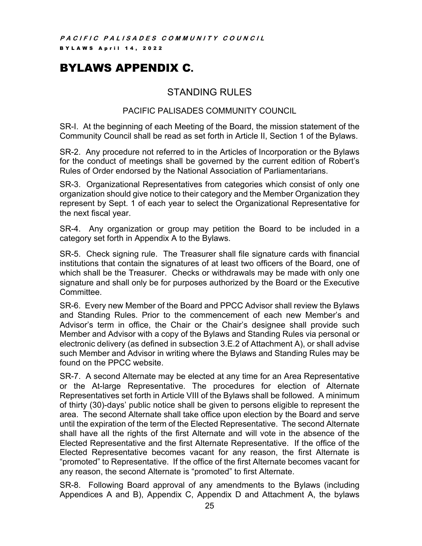# BYLAWS APPENDIX C.

# STANDING RULES

# PACIFIC PALISADES COMMUNITY COUNCIL

SR-I. At the beginning of each Meeting of the Board, the mission statement of the Community Council shall be read as set forth in Article II, Section 1 of the Bylaws.

SR-2. Any procedure not referred to in the Articles of Incorporation or the Bylaws for the conduct of meetings shall be governed by the current edition of Robert's Rules of Order endorsed by the National Association of Parliamentarians.

SR-3. Organizational Representatives from categories which consist of only one organization should give notice to their category and the Member Organization they represent by Sept. 1 of each year to select the Organizational Representative for the next fiscal year.

SR-4. Any organization or group may petition the Board to be included in a category set forth in Appendix A to the Bylaws.

SR-5. Check signing rule. The Treasurer shall file signature cards with financial institutions that contain the signatures of at least two officers of the Board, one of which shall be the Treasurer. Checks or withdrawals may be made with only one signature and shall only be for purposes authorized by the Board or the Executive Committee.

SR-6. Every new Member of the Board and PPCC Advisor shall review the Bylaws and Standing Rules. Prior to the commencement of each new Member's and Advisor's term in office, the Chair or the Chair's designee shall provide such Member and Advisor with a copy of the Bylaws and Standing Rules via personal or electronic delivery (as defined in subsection 3.E.2 of Attachment A), or shall advise such Member and Advisor in writing where the Bylaws and Standing Rules may be found on the PPCC website.

SR-7. A second Alternate may be elected at any time for an Area Representative or the At-large Representative. The procedures for election of Alternate Representatives set forth in Article VIII of the Bylaws shall be followed. A minimum of thirty (30)-days' public notice shall be given to persons eligible to represent the area. The second Alternate shall take office upon election by the Board and serve until the expiration of the term of the Elected Representative. The second Alternate shall have all the rights of the first Alternate and will vote in the absence of the Elected Representative and the first Alternate Representative. If the office of the Elected Representative becomes vacant for any reason, the first Alternate is "promoted" to Representative. If the office of the first Alternate becomes vacant for any reason, the second Alternate is "promoted" to first Alternate.

SR-8. Following Board approval of any amendments to the Bylaws (including Appendices A and B), Appendix C, Appendix D and Attachment A, the bylaws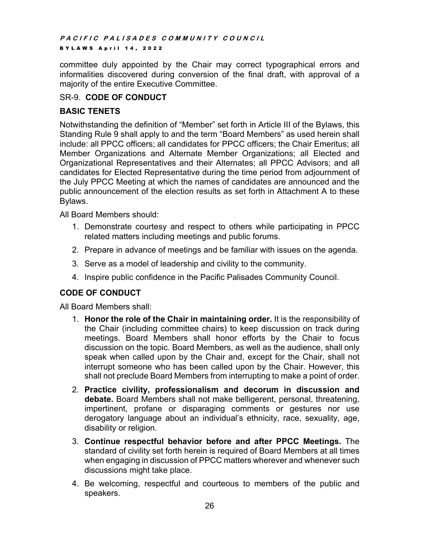# **PACIFIC PALISADES COMMUNITY COUNCIL**

#### **BYLAWS April 14, 2022**

committee duly appointed by the Chair may correct typographical errors and informalities discovered during conversion of the final draft, with approval of a majority of the entire Executive Committee.

#### SR-9. **CODE OF CONDUCT**

#### **BASIC TENETS**

Notwithstanding the definition of "Member" set forth in Article III of the Bylaws, this Standing Rule 9 shall apply to and the term "Board Members" as used herein shall include: all PPCC officers; all candidates for PPCC officers; the Chair Emeritus; all Member Organizations and Alternate Member Organizations; all Elected and Organizational Representatives and their Alternates; all PPCC Advisors; and all candidates for Elected Representative during the time period from adjournment of the July PPCC Meeting at which the names of candidates are announced and the public announcement of the election results as set forth in Attachment A to these Bylaws.

All Board Members should:

- 1. Demonstrate courtesy and respect to others while participating in PPCC related matters including meetings and public forums.
- 2. Prepare in advance of meetings and be familiar with issues on the agenda.
- 3. Serve as a model of leadership and civility to the community.
- 4. Inspire public confidence in the Pacific Palisades Community Council.

# **CODE OF CONDUCT**

All Board Members shall:

- 1. **Honor the role of the Chair in maintaining order.** It is the responsibility of the Chair (including committee chairs) to keep discussion on track during meetings. Board Members shall honor efforts by the Chair to focus discussion on the topic. Board Members, as well as the audience, shall only speak when called upon by the Chair and, except for the Chair, shall not interrupt someone who has been called upon by the Chair. However, this shall not preclude Board Members from interrupting to make a point of order.
- 2. **Practice civility, professionalism and decorum in discussion and debate.** Board Members shall not make belligerent, personal, threatening, impertinent, profane or disparaging comments or gestures nor use derogatory language about an individual's ethnicity, race, sexuality, age, disability or religion.
- 3. **Continue respectful behavior before and after PPCC Meetings.** The standard of civility set forth herein is required of Board Members at all times when engaging in discussion of PPCC matters wherever and whenever such discussions might take place.
- 4. Be welcoming, respectful and courteous to members of the public and speakers.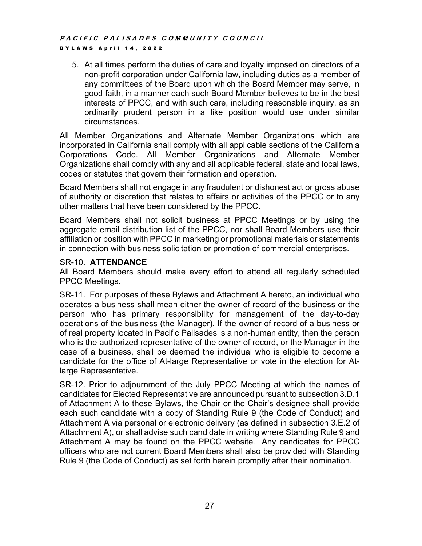5. At all times perform the duties of care and loyalty imposed on directors of a non-profit corporation under California law, including duties as a member of any committees of the Board upon which the Board Member may serve, in good faith, in a manner each such Board Member believes to be in the best interests of PPCC, and with such care, including reasonable inquiry, as an ordinarily prudent person in a like position would use under similar circumstances.

All Member Organizations and Alternate Member Organizations which are incorporated in California shall comply with all applicable sections of the California Corporations Code. All Member Organizations and Alternate Member Organizations shall comply with any and all applicable federal, state and local laws, codes or statutes that govern their formation and operation.

Board Members shall not engage in any fraudulent or dishonest act or gross abuse of authority or discretion that relates to affairs or activities of the PPCC or to any other matters that have been considered by the PPCC.

Board Members shall not solicit business at PPCC Meetings or by using the aggregate email distribution list of the PPCC, nor shall Board Members use their affiliation or position with PPCC in marketing or promotional materials or statements in connection with business solicitation or promotion of commercial enterprises.

# SR-10. **ATTENDANCE**

All Board Members should make every effort to attend all regularly scheduled PPCC Meetings.

SR-11. For purposes of these Bylaws and Attachment A hereto, an individual who operates a business shall mean either the owner of record of the business or the person who has primary responsibility for management of the day-to-day operations of the business (the Manager). If the owner of record of a business or of real property located in Pacific Palisades is a non-human entity, then the person who is the authorized representative of the owner of record, or the Manager in the case of a business, shall be deemed the individual who is eligible to become a candidate for the office of At-large Representative or vote in the election for Atlarge Representative.

SR-12. Prior to adjournment of the July PPCC Meeting at which the names of candidates for Elected Representative are announced pursuant to subsection 3.D.1 of Attachment A to these Bylaws, the Chair or the Chair's designee shall provide each such candidate with a copy of Standing Rule 9 (the Code of Conduct) and Attachment A via personal or electronic delivery (as defined in subsection 3.E.2 of Attachment A), or shall advise such candidate in writing where Standing Rule 9 and Attachment A may be found on the PPCC website. Any candidates for PPCC officers who are not current Board Members shall also be provided with Standing Rule 9 (the Code of Conduct) as set forth herein promptly after their nomination.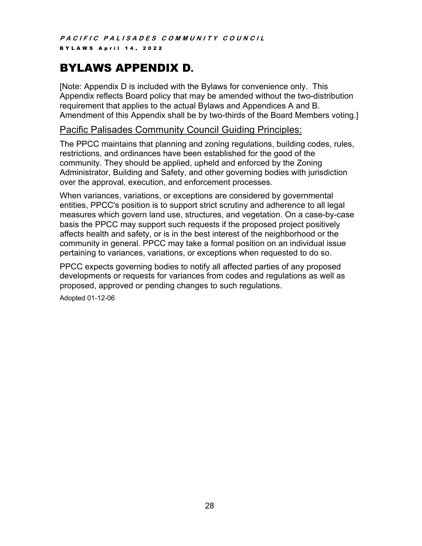# BYLAWS APPENDIX D.

[Note: Appendix D is included with the Bylaws for convenience only. This Appendix reflects Board policy that may be amended without the two-distribution requirement that applies to the actual Bylaws and Appendices A and B. Amendment of this Appendix shall be by two-thirds of the Board Members voting.]

# Pacific Palisades Community Council Guiding Principles:

The PPCC maintains that planning and zoning regulations, building codes, rules, restrictions, and ordinances have been established for the good of the community. They should be applied, upheld and enforced by the Zoning Administrator, Building and Safety, and other governing bodies with jurisdiction over the approval, execution, and enforcement processes.

When variances, variations, or exceptions are considered by governmental entities, PPCC's position is to support strict scrutiny and adherence to all legal measures which govern land use, structures, and vegetation. On a case-by-case basis the PPCC may support such requests if the proposed project positively affects health and safety, or is in the best interest of the neighborhood or the community in general. PPCC may take a formal position on an individual issue pertaining to variances, variations, or exceptions when requested to do so.

PPCC expects governing bodies to notify all affected parties of any proposed developments or requests for variances from codes and regulations as well as proposed, approved or pending changes to such regulations.

Adopted 01-12-06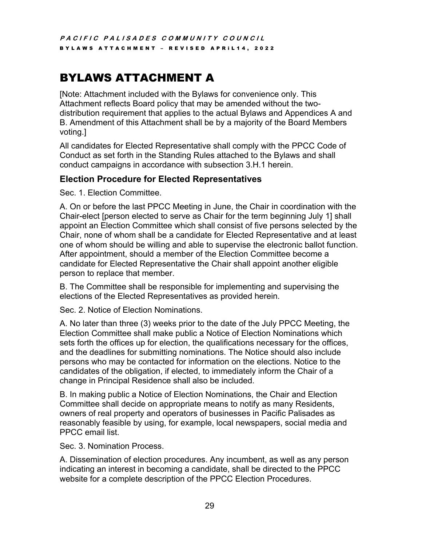# BYLAWS ATTACHMENT A

[Note: Attachment included with the Bylaws for convenience only. This Attachment reflects Board policy that may be amended without the twodistribution requirement that applies to the actual Bylaws and Appendices A and B. Amendment of this Attachment shall be by a majority of the Board Members voting.]

All candidates for Elected Representative shall comply with the PPCC Code of Conduct as set forth in the Standing Rules attached to the Bylaws and shall conduct campaigns in accordance with subsection 3.H.1 herein.

# **Election Procedure for Elected Representatives**

Sec. 1. Election Committee.

A. On or before the last PPCC Meeting in June, the Chair in coordination with the Chair-elect [person elected to serve as Chair for the term beginning July 1] shall appoint an Election Committee which shall consist of five persons selected by the Chair, none of whom shall be a candidate for Elected Representative and at least one of whom should be willing and able to supervise the electronic ballot function. After appointment, should a member of the Election Committee become a candidate for Elected Representative the Chair shall appoint another eligible person to replace that member.

B. The Committee shall be responsible for implementing and supervising the elections of the Elected Representatives as provided herein.

Sec. 2. Notice of Election Nominations.

A. No later than three (3) weeks prior to the date of the July PPCC Meeting, the Election Committee shall make public a Notice of Election Nominations which sets forth the offices up for election, the qualifications necessary for the offices, and the deadlines for submitting nominations. The Notice should also include persons who may be contacted for information on the elections. Notice to the candidates of the obligation, if elected, to immediately inform the Chair of a change in Principal Residence shall also be included.

B. In making public a Notice of Election Nominations, the Chair and Election Committee shall decide on appropriate means to notify as many Residents, owners of real property and operators of businesses in Pacific Palisades as reasonably feasible by using, for example, local newspapers, social media and PPCC email list.

Sec. 3. Nomination Process.

A. Dissemination of election procedures. Any incumbent, as well as any person indicating an interest in becoming a candidate, shall be directed to the PPCC website for a complete description of the PPCC Election Procedures.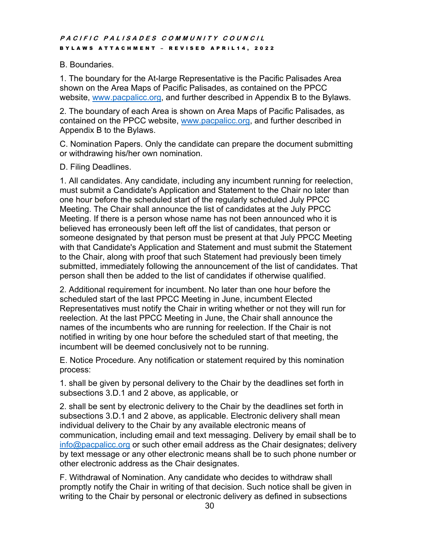# B. Boundaries.

1. The boundary for the At-large Representative is the Pacific Palisades Area shown on the Area Maps of Pacific Palisades, as contained on the PPCC website, www.pacpalicc.org, and further described in Appendix B to the Bylaws.

2. The boundary of each Area is shown on Area Maps of Pacific Palisades, as contained on the PPCC website, www.pacpalicc.org, and further described in Appendix B to the Bylaws.

C. Nomination Papers. Only the candidate can prepare the document submitting or withdrawing his/her own nomination.

# D. Filing Deadlines.

1. All candidates. Any candidate, including any incumbent running for reelection, must submit a Candidate's Application and Statement to the Chair no later than one hour before the scheduled start of the regularly scheduled July PPCC Meeting. The Chair shall announce the list of candidates at the July PPCC Meeting. If there is a person whose name has not been announced who it is believed has erroneously been left off the list of candidates, that person or someone designated by that person must be present at that July PPCC Meeting with that Candidate's Application and Statement and must submit the Statement to the Chair, along with proof that such Statement had previously been timely submitted, immediately following the announcement of the list of candidates. That person shall then be added to the list of candidates if otherwise qualified.

2. Additional requirement for incumbent. No later than one hour before the scheduled start of the last PPCC Meeting in June, incumbent Elected Representatives must notify the Chair in writing whether or not they will run for reelection. At the last PPCC Meeting in June, the Chair shall announce the names of the incumbents who are running for reelection. If the Chair is not notified in writing by one hour before the scheduled start of that meeting, the incumbent will be deemed conclusively not to be running.

E. Notice Procedure. Any notification or statement required by this nomination process:

1. shall be given by personal delivery to the Chair by the deadlines set forth in subsections 3.D.1 and 2 above, as applicable, or

2. shall be sent by electronic delivery to the Chair by the deadlines set forth in subsections 3.D.1 and 2 above, as applicable. Electronic delivery shall mean individual delivery to the Chair by any available electronic means of communication, including email and text messaging. Delivery by email shall be to info@pacpalicc.org or such other email address as the Chair designates; delivery by text message or any other electronic means shall be to such phone number or other electronic address as the Chair designates.

F. Withdrawal of Nomination. Any candidate who decides to withdraw shall promptly notify the Chair in writing of that decision. Such notice shall be given in writing to the Chair by personal or electronic delivery as defined in subsections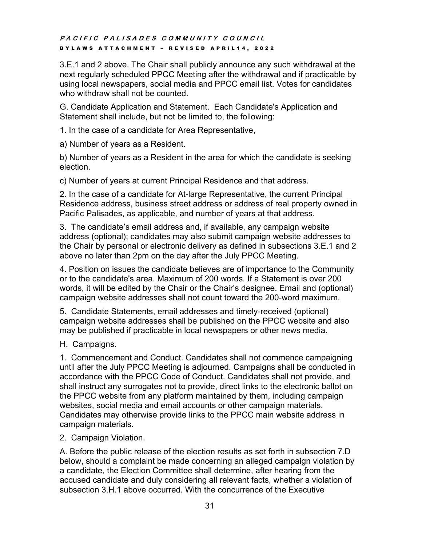3.E.1 and 2 above. The Chair shall publicly announce any such withdrawal at the next regularly scheduled PPCC Meeting after the withdrawal and if practicable by using local newspapers, social media and PPCC email list. Votes for candidates who withdraw shall not be counted.

G. Candidate Application and Statement. Each Candidate's Application and Statement shall include, but not be limited to, the following:

1. In the case of a candidate for Area Representative,

a) Number of years as a Resident.

b) Number of years as a Resident in the area for which the candidate is seeking election.

c) Number of years at current Principal Residence and that address.

2. In the case of a candidate for At-large Representative, the current Principal Residence address, business street address or address of real property owned in Pacific Palisades, as applicable, and number of years at that address.

3. The candidate's email address and, if available, any campaign website address (optional); candidates may also submit campaign website addresses to the Chair by personal or electronic delivery as defined in subsections 3.E.1 and 2 above no later than 2pm on the day after the July PPCC Meeting.

4. Position on issues the candidate believes are of importance to the Community or to the candidate's area. Maximum of 200 words. If a Statement is over 200 words, it will be edited by the Chair or the Chair's designee. Email and (optional) campaign website addresses shall not count toward the 200-word maximum.

5. Candidate Statements, email addresses and timely-received (optional) campaign website addresses shall be published on the PPCC website and also may be published if practicable in local newspapers or other news media.

H. Campaigns.

1. Commencement and Conduct. Candidates shall not commence campaigning until after the July PPCC Meeting is adjourned. Campaigns shall be conducted in accordance with the PPCC Code of Conduct. Candidates shall not provide, and shall instruct any surrogates not to provide, direct links to the electronic ballot on the PPCC website from any platform maintained by them, including campaign websites, social media and email accounts or other campaign materials. Candidates may otherwise provide links to the PPCC main website address in campaign materials.

2. Campaign Violation.

A. Before the public release of the election results as set forth in subsection 7.D below, should a complaint be made concerning an alleged campaign violation by a candidate, the Election Committee shall determine, after hearing from the accused candidate and duly considering all relevant facts, whether a violation of subsection 3.H.1 above occurred. With the concurrence of the Executive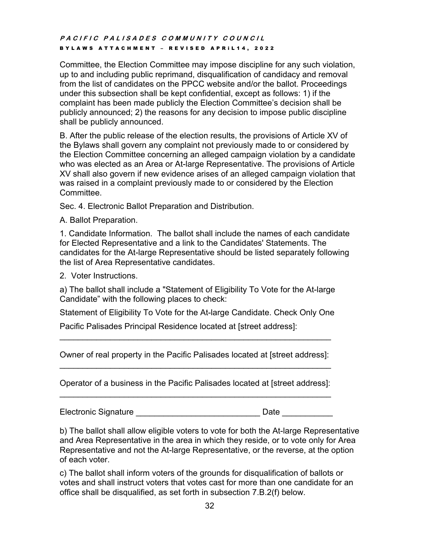Committee, the Election Committee may impose discipline for any such violation, up to and including public reprimand, disqualification of candidacy and removal from the list of candidates on the PPCC website and/or the ballot. Proceedings under this subsection shall be kept confidential, except as follows: 1) if the complaint has been made publicly the Election Committee's decision shall be publicly announced; 2) the reasons for any decision to impose public discipline shall be publicly announced.

B. After the public release of the election results, the provisions of Article XV of the Bylaws shall govern any complaint not previously made to or considered by the Election Committee concerning an alleged campaign violation by a candidate who was elected as an Area or At-large Representative. The provisions of Article XV shall also govern if new evidence arises of an alleged campaign violation that was raised in a complaint previously made to or considered by the Election Committee.

Sec. 4. Electronic Ballot Preparation and Distribution.

A. Ballot Preparation.

1. Candidate Information. The ballot shall include the names of each candidate for Elected Representative and a link to the Candidates' Statements. The candidates for the At-large Representative should be listed separately following the list of Area Representative candidates.

2. Voter Instructions.

a) The ballot shall include a "Statement of Eligibility To Vote for the At-large Candidate" with the following places to check:

Statement of Eligibility To Vote for the At-large Candidate. Check Only One

Pacific Palisades Principal Residence located at [street address]:

Owner of real property in the Pacific Palisades located at [street address]: \_\_\_\_\_\_\_\_\_\_\_\_\_\_\_\_\_\_\_\_\_\_\_\_\_\_\_\_\_\_\_\_\_\_\_\_\_\_\_\_\_\_\_\_\_\_\_\_\_\_\_\_\_\_\_\_\_\_\_

\_\_\_\_\_\_\_\_\_\_\_\_\_\_\_\_\_\_\_\_\_\_\_\_\_\_\_\_\_\_\_\_\_\_\_\_\_\_\_\_\_\_\_\_\_\_\_\_\_\_\_\_\_\_\_\_\_\_\_

Operator of a business in the Pacific Palisades located at [street address]:  $\mathcal{L}_\text{max}$  , and the contribution of the contribution of the contribution of the contribution of the contribution of the contribution of the contribution of the contribution of the contribution of the contribution of t

Electronic Signature **Electronic Signature Electronic Signature Electronic Signature** 

b) The ballot shall allow eligible voters to vote for both the At-large Representative and Area Representative in the area in which they reside, or to vote only for Area Representative and not the At-large Representative, or the reverse, at the option of each voter.

c) The ballot shall inform voters of the grounds for disqualification of ballots or votes and shall instruct voters that votes cast for more than one candidate for an office shall be disqualified, as set forth in subsection 7.B.2(f) below.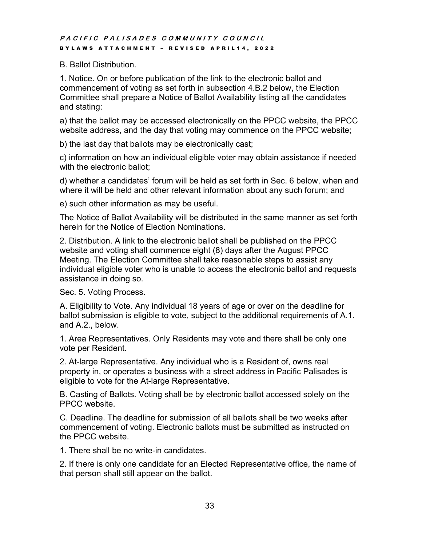#### B. Ballot Distribution.

1. Notice. On or before publication of the link to the electronic ballot and commencement of voting as set forth in subsection 4.B.2 below, the Election Committee shall prepare a Notice of Ballot Availability listing all the candidates and stating:

a) that the ballot may be accessed electronically on the PPCC website, the PPCC website address, and the day that voting may commence on the PPCC website;

b) the last day that ballots may be electronically cast;

c) information on how an individual eligible voter may obtain assistance if needed with the electronic ballot;

d) whether a candidates' forum will be held as set forth in Sec. 6 below, when and where it will be held and other relevant information about any such forum; and

e) such other information as may be useful.

The Notice of Ballot Availability will be distributed in the same manner as set forth herein for the Notice of Election Nominations.

2. Distribution. A link to the electronic ballot shall be published on the PPCC website and voting shall commence eight (8) days after the August PPCC Meeting. The Election Committee shall take reasonable steps to assist any individual eligible voter who is unable to access the electronic ballot and requests assistance in doing so.

Sec. 5. Voting Process.

A. Eligibility to Vote. Any individual 18 years of age or over on the deadline for ballot submission is eligible to vote, subject to the additional requirements of A.1. and A.2., below.

1. Area Representatives. Only Residents may vote and there shall be only one vote per Resident.

2. At-large Representative. Any individual who is a Resident of, owns real property in, or operates a business with a street address in Pacific Palisades is eligible to vote for the At-large Representative.

B. Casting of Ballots. Voting shall be by electronic ballot accessed solely on the PPCC website.

C. Deadline. The deadline for submission of all ballots shall be two weeks after commencement of voting. Electronic ballots must be submitted as instructed on the PPCC website.

1. There shall be no write-in candidates.

2. If there is only one candidate for an Elected Representative office, the name of that person shall still appear on the ballot.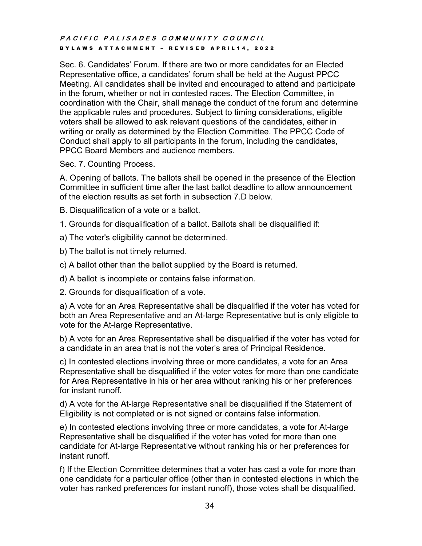Sec. 6. Candidates' Forum. If there are two or more candidates for an Elected Representative office, a candidates' forum shall be held at the August PPCC Meeting. All candidates shall be invited and encouraged to attend and participate in the forum, whether or not in contested races. The Election Committee, in coordination with the Chair, shall manage the conduct of the forum and determine the applicable rules and procedures. Subject to timing considerations, eligible voters shall be allowed to ask relevant questions of the candidates, either in writing or orally as determined by the Election Committee. The PPCC Code of Conduct shall apply to all participants in the forum, including the candidates, PPCC Board Members and audience members.

Sec. 7. Counting Process.

A. Opening of ballots. The ballots shall be opened in the presence of the Election Committee in sufficient time after the last ballot deadline to allow announcement of the election results as set forth in subsection 7.D below.

- B. Disqualification of a vote or a ballot.
- 1. Grounds for disqualification of a ballot. Ballots shall be disqualified if:
- a) The voter's eligibility cannot be determined.
- b) The ballot is not timely returned.
- c) A ballot other than the ballot supplied by the Board is returned.
- d) A ballot is incomplete or contains false information.
- 2. Grounds for disqualification of a vote.

a) A vote for an Area Representative shall be disqualified if the voter has voted for both an Area Representative and an At-large Representative but is only eligible to vote for the At-large Representative.

b) A vote for an Area Representative shall be disqualified if the voter has voted for a candidate in an area that is not the voter's area of Principal Residence.

c) In contested elections involving three or more candidates, a vote for an Area Representative shall be disqualified if the voter votes for more than one candidate for Area Representative in his or her area without ranking his or her preferences for instant runoff.

d) A vote for the At-large Representative shall be disqualified if the Statement of Eligibility is not completed or is not signed or contains false information.

e) In contested elections involving three or more candidates, a vote for At-large Representative shall be disqualified if the voter has voted for more than one candidate for At-large Representative without ranking his or her preferences for instant runoff.

f) If the Election Committee determines that a voter has cast a vote for more than one candidate for a particular office (other than in contested elections in which the voter has ranked preferences for instant runoff), those votes shall be disqualified.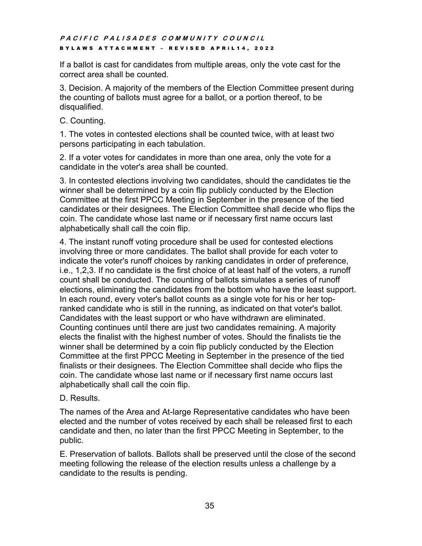If a ballot is cast for candidates from multiple areas, only the vote cast for the correct area shall be counted.

3. Decision. A majority of the members of the Election Committee present during the counting of ballots must agree for a ballot, or a portion thereof, to be disqualified.

C. Counting.

1. The votes in contested elections shall be counted twice, with at least two persons participating in each tabulation.

2. If a voter votes for candidates in more than one area, only the vote for a candidate in the voter's area shall be counted.

3. In contested elections involving two candidates, should the candidates tie the winner shall be determined by a coin flip publicly conducted by the Election Committee at the first PPCC Meeting in September in the presence of the tied candidates or their designees. The Election Committee shall decide who flips the coin. The candidate whose last name or if necessary first name occurs last alphabetically shall call the coin flip.

4. The instant runoff voting procedure shall be used for contested elections involving three or more candidates. The ballot shall provide for each voter to indicate the voter's runoff choices by ranking candidates in order of preference, i.e., 1,2,3. If no candidate is the first choice of at least half of the voters, a runoff count shall be conducted. The counting of ballots simulates a series of runoff elections, eliminating the candidates from the bottom who have the least support. In each round, every voter's ballot counts as a single vote for his or her topranked candidate who is still in the running, as indicated on that voter's ballot. Candidates with the least support or who have withdrawn are eliminated. Counting continues until there are just two candidates remaining. A majority elects the finalist with the highest number of votes. Should the finalists tie the winner shall be determined by a coin flip publicly conducted by the Election Committee at the first PPCC Meeting in September in the presence of the tied finalists or their designees. The Election Committee shall decide who flips the coin. The candidate whose last name or if necessary first name occurs last alphabetically shall call the coin flip.

# D. Results.

The names of the Area and At-large Representative candidates who have been elected and the number of votes received by each shall be released first to each candidate and then, no later than the first PPCC Meeting in September, to the public.

E. Preservation of ballots. Ballots shall be preserved until the close of the second meeting following the release of the election results unless a challenge by a candidate to the results is pending.